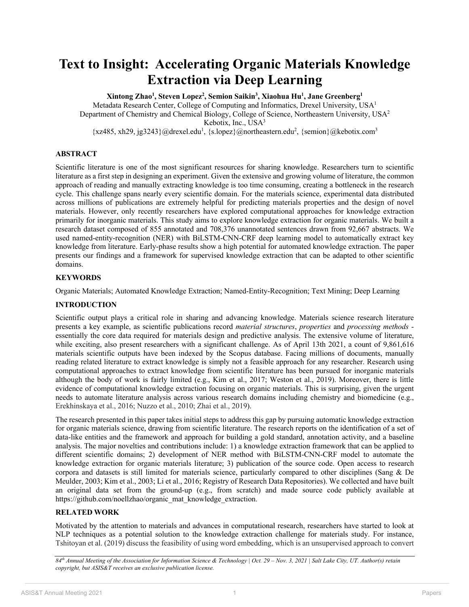# **Text to Insight: Accelerating Organic Materials Knowledge Extraction via Deep Learning**

**Xintong Zhao1 , Steven Lopez2 , Semion Saikin3 , Xiaohua Hu1 , Jane Greenberg1** Metadata Research Center, College of Computing and Informatics, Drexel University, USA1 Department of Chemistry and Chemical Biology, College of Science, Northeastern University, USA<sup>2</sup> Kebotix, Inc., USA3 {xz485, xh29, jg3243}@drexel.edu<sup>1</sup>, {s.lopez}@northeastern.edu<sup>2</sup>, {semion}@kebotix.com<sup>3</sup>

**ABSTRACT**

Scientific literature is one of the most significant resources for sharing knowledge. Researchers turn to scientific literature as a first step in designing an experiment. Given the extensive and growing volume of literature, the common approach of reading and manually extracting knowledge is too time consuming, creating a bottleneck in the research cycle. This challenge spans nearly every scientific domain. For the materials science, experimental data distributed across millions of publications are extremely helpful for predicting materials properties and the design of novel materials. However, only recently researchers have explored computational approaches for knowledge extraction primarily for inorganic materials. This study aims to explore knowledge extraction for organic materials. We built a research dataset composed of 855 annotated and 708,376 unannotated sentences drawn from 92,667 abstracts. We used named-entity-recognition (NER) with BiLSTM-CNN-CRF deep learning model to automatically extract key knowledge from literature. Early-phase results show a high potential for automated knowledge extraction. The paper presents our findings and a framework for supervised knowledge extraction that can be adapted to other scientific domains.

## **KEYWORDS**

Organic Materials; Automated Knowledge Extraction; Named-Entity-Recognition; Text Mining; Deep Learning

#### **INTRODUCTION**

Scientific output plays a critical role in sharing and advancing knowledge. Materials science research literature presents a key example, as scientific publications record *material structures*, *properties* and *processing methods* essentially the core data required for materials design and predictive analysis. The extensive volume of literature, while exciting, also present researchers with a significant challenge. As of April 13th 2021, a count of 9,861,616 materials scientific outputs have been indexed by the Scopus database. Facing millions of documents, manually reading related literature to extract knowledge is simply not a feasible approach for any researcher. Research using computational approaches to extract knowledge from scientific literature has been pursued for inorganic materials although the body of work is fairly limited (e.g., Kim et al., 2017; Weston et al., 2019). Moreover, there is little evidence of computational knowledge extraction focusing on organic materials. This is surprising, given the urgent needs to automate literature analysis across various research domains including chemistry and biomedicine (e.g., Erekhinskaya et al., 2016; Nuzzo et al., 2010; Zhai et al., 2019).

The research presented in this paper takes initial steps to address this gap by pursuing automatic knowledge extraction for organic materials science, drawing from scientific literature. The research reports on the identification of a set of data-like entities and the framework and approach for building a gold standard, annotation activity, and a baseline analysis. The major novelties and contributions include: 1) a knowledge extraction framework that can be applied to different scientific domains; 2) development of NER method with BiLSTM-CNN-CRF model to automate the knowledge extraction for organic materials literature; 3) publication of the source code. Open access to research corpora and datasets is still limited for materials science, particularly compared to other disciplines (Sang & De Meulder, 2003; Kim et al., 2003; Li et al., 2016; Registry of Research Data Repositories). We collected and have built an original data set from the ground-up (e.g., from scratch) and made source code publicly available at https://github.com/noellzhao/organic\_mat\_knowledge\_extraction.

## **RELATED WORK**

Motivated by the attention to materials and advances in computational research, researchers have started to look at NLP techniques as a potential solution to the knowledge extraction challenge for materials study. For instance, Tshitoyan et al. (2019) discuss the feasibility of using word embedding, which is an unsupervised approach to convert

*<sup>84</sup>th Annual Meeting of the Association for Information Science & Technology | Oct. 29 – Nov. 3, 2021 | Salt Lake City, UT. Author(s) retain copyright, but ASIS&T receives an exclusive publication license.*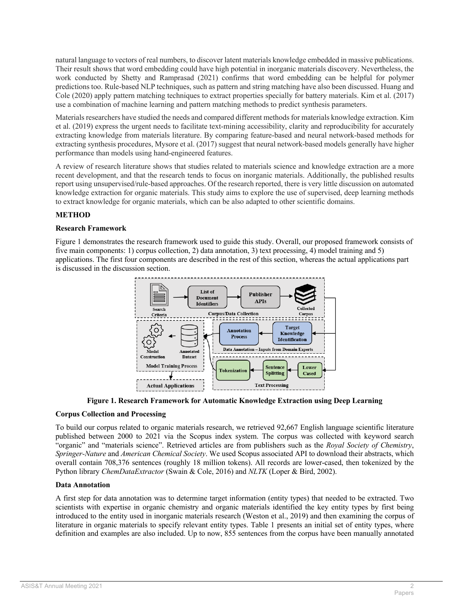natural language to vectors of real numbers, to discover latent materials knowledge embedded in massive publications. Their result shows that word embedding could have high potential in inorganic materials discovery. Nevertheless, the work conducted by Shetty and Ramprasad (2021) confirms that word embedding can be helpful for polymer predictions too. Rule-based NLP techniques, such as pattern and string matching have also been discussed. Huang and Cole (2020) apply pattern matching techniques to extract properties specially for battery materials. Kim et al. (2017) use a combination of machine learning and pattern matching methods to predict synthesis parameters.

Materials researchers have studied the needs and compared different methods for materials knowledge extraction. Kim et al. (2019) express the urgent needs to facilitate text-mining accessibility, clarity and reproducibility for accurately extracting knowledge from materials literature. By comparing feature-based and neural network-based methods for extracting synthesis procedures, Mysore et al. (2017) suggest that neural network-based models generally have higher performance than models using hand-engineered features.

A review of research literature shows that studies related to materials science and knowledge extraction are a more recent development, and that the research tends to focus on inorganic materials. Additionally, the published results report using unsupervised/rule-based approaches. Of the research reported, there is very little discussion on automated knowledge extraction for organic materials. This study aims to explore the use of supervised, deep learning methods to extract knowledge for organic materials, which can be also adapted to other scientific domains.

# **METHOD**

#### **Research Framework**

Figure 1 demonstrates the research framework used to guide this study. Overall, our proposed framework consists of five main components: 1) corpus collection, 2) data annotation, 3) text processing, 4) model training and 5) applications. The first four components are described in the rest of this section, whereas the actual applications part is discussed in the discussion section.



**Figure 1. Research Framework for Automatic Knowledge Extraction using Deep Learning**

## **Corpus Collection and Processing**

To build our corpus related to organic materials research, we retrieved 92,667 English language scientific literature published between 2000 to 2021 via the Scopus index system. The corpus was collected with keyword search "organic" and "materials science". Retrieved articles are from publishers such as the *Royal Society of Chemistry*, *Springer-Nature* and *American Chemical Society*. We used Scopus associated API to download their abstracts, which overall contain 708,376 sentences (roughly 18 million tokens). All records are lower-cased, then tokenized by the Python library *ChemDataExtractor* (Swain & Cole, 2016) and *NLTK* (Loper & Bird, 2002).

#### **Data Annotation**

A first step for data annotation was to determine target information (entity types) that needed to be extracted. Two scientists with expertise in organic chemistry and organic materials identified the key entity types by first being introduced to the entity used in inorganic materials research (Weston et al., 2019) and then examining the corpus of literature in organic materials to specify relevant entity types. Table 1 presents an initial set of entity types, where definition and examples are also included. Up to now, 855 sentences from the corpus have been manually annotated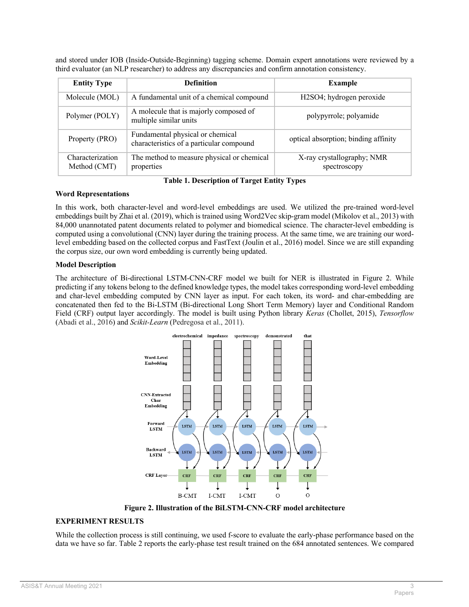and stored under IOB (Inside-Outside-Beginning) tagging scheme. Domain expert annotations were reviewed by a third evaluator (an NLP researcher) to address any discrepancies and confirm annotation consistency.

| <b>Entity Type</b>               | <b>Definition</b>                                                            | <b>Example</b>                             |  |
|----------------------------------|------------------------------------------------------------------------------|--------------------------------------------|--|
| Molecule (MOL)                   | A fundamental unit of a chemical compound                                    | H2SO4; hydrogen peroxide                   |  |
| Polymer (POLY)                   | A molecule that is majorly composed of<br>multiple similar units             | polypyrrole; polyamide                     |  |
| Property (PRO)                   | Fundamental physical or chemical<br>characteristics of a particular compound | optical absorption; binding affinity       |  |
| Characterization<br>Method (CMT) | The method to measure physical or chemical<br>properties                     | X-ray crystallography; NMR<br>spectroscopy |  |

**Table 1. Description of Target Entity Types**

#### **Word Representations**

In this work, both character-level and word-level embeddings are used. We utilized the pre-trained word-level embeddings built by Zhai et al. (2019), which is trained using Word2Vec skip-gram model (Mikolov et al., 2013) with 84,000 unannotated patent documents related to polymer and biomedical science. The character-level embedding is computed using a convolutional (CNN) layer during the training process. At the same time, we are training our wordlevel embedding based on the collected corpus and FastText (Joulin et al., 2016) model. Since we are still expanding the corpus size, our own word embedding is currently being updated.

## **Model Description**

The architecture of Bi-directional LSTM-CNN-CRF model we built for NER is illustrated in Figure 2. While predicting if any tokens belong to the defined knowledge types, the model takes corresponding word-level embedding and char-level embedding computed by CNN layer as input. For each token, its word- and char-embedding are concatenated then fed to the Bi-LSTM (Bi-directional Long Short Term Memory) layer and Conditional Random Field (CRF) output layer accordingly. The model is built using Python library *Keras* (Chollet, 2015), *Tensorflow*  (Abadi et al., 2016) and *Scikit-Learn* (Pedregosa et al., 2011).



**Figure 2. Illustration of the BiLSTM-CNN-CRF model architecture**

## **EXPERIMENT RESULTS**

While the collection process is still continuing, we used f-score to evaluate the early-phase performance based on the data we have so far. Table 2 reports the early-phase test result trained on the 684 annotated sentences. We compared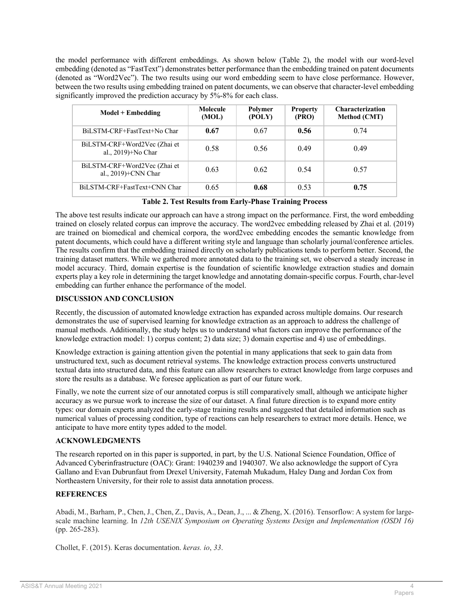the model performance with different embeddings. As shown below (Table 2), the model with our word-level embedding (denoted as "FastText") demonstrates better performance than the embedding trained on patent documents (denoted as "Word2Vec"). The two results using our word embedding seem to have close performance. However, between the two results using embedding trained on patent documents, we can observe that character-level embedding significantly improved the prediction accuracy by 5%-8% for each class.

| $Model + Embedding$                                    | Molecule<br>(MOL) | Polymer<br>(POLY) | <b>Property</b><br>(PRO) | <b>Characterization</b><br><b>Method (CMT)</b> |
|--------------------------------------------------------|-------------------|-------------------|--------------------------|------------------------------------------------|
| BiLSTM-CRF+FastText+No Char                            | 0.67              | 0.67              | 0.56                     | 0.74                                           |
| BiLSTM-CRF+Word2Vec (Zhai et<br>al., 2019)+No Char     | 0.58              | 0.56              | 0.49                     | 0.49                                           |
| BiLSTM-CRF+Word2Vec (Zhai et<br>al., $2019$ )+CNN Char | 0.63              | 0.62              | 0.54                     | 0.57                                           |
| BiLSTM-CRF+FastText+CNN Char                           | 0.65              | 0.68              | 0.53                     | 0.75                                           |

**Table 2. Test Results from Early-Phase Training Process**

The above test results indicate our approach can have a strong impact on the performance. First, the word embedding trained on closely related corpus can improve the accuracy. The word2vec embedding released by Zhai et al. (2019) are trained on biomedical and chemical corpora, the word2vec embedding encodes the semantic knowledge from patent documents, which could have a different writing style and language than scholarly journal/conference articles. The results confirm that the embedding trained directly on scholarly publications tends to perform better. Second, the training dataset matters. While we gathered more annotated data to the training set, we observed a steady increase in model accuracy. Third, domain expertise is the foundation of scientific knowledge extraction studies and domain experts play a key role in determining the target knowledge and annotating domain-specific corpus. Fourth, char-level embedding can further enhance the performance of the model.

## **DISCUSSION AND CONCLUSION**

Recently, the discussion of automated knowledge extraction has expanded across multiple domains. Our research demonstrates the use of supervised learning for knowledge extraction as an approach to address the challenge of manual methods. Additionally, the study helps us to understand what factors can improve the performance of the knowledge extraction model: 1) corpus content; 2) data size; 3) domain expertise and 4) use of embeddings.

Knowledge extraction is gaining attention given the potential in many applications that seek to gain data from unstructured text, such as document retrieval systems. The knowledge extraction process converts unstructured textual data into structured data, and this feature can allow researchers to extract knowledge from large corpuses and store the results as a database. We foresee application as part of our future work.

Finally, we note the current size of our annotated corpus is still comparatively small, although we anticipate higher accuracy as we pursue work to increase the size of our dataset. A final future direction is to expand more entity types: our domain experts analyzed the early-stage training results and suggested that detailed information such as numerical values of processing condition, type of reactions can help researchers to extract more details. Hence, we anticipate to have more entity types added to the model.

#### **ACKNOWLEDGMENTS**

The research reported on in this paper is supported, in part, by the U.S. National Science Foundation, Office of Advanced Cyberinfrastructure (OAC): Grant: 1940239 and 1940307. We also acknowledge the support of Cyra Gallano and Evan Dubrunfaut from Drexel University, Fatemah Mukadum, Haley Dang and Jordan Cox from Northeastern University, for their role to assist data annotation process.

#### **REFERENCES**

Abadi, M., Barham, P., Chen, J., Chen, Z., Davis, A., Dean, J., ... & Zheng, X. (2016). Tensorflow: A system for largescale machine learning. In *12th USENIX Symposium on Operating Systems Design and Implementation (OSDI 16)* (pp. 265-283).

Chollet, F. (2015). Keras documentation. *keras. io*, *33*.